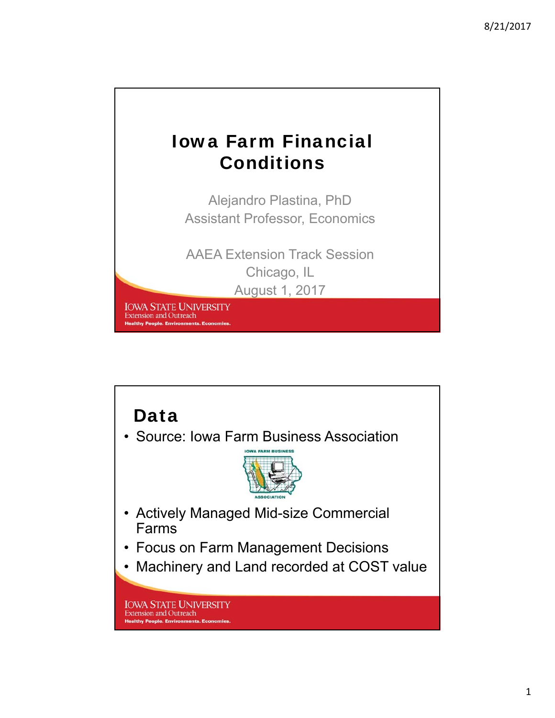## Iowa Farm Financial Conditions

Alejandro Plastina, PhD Assistant Professor, Economics

AAEA Extension Track Session Chicago, IL August 1, 2017

**IOWA STATE UNIVERSITY Extension and Outreach Healthy People. Environments. Ec** 

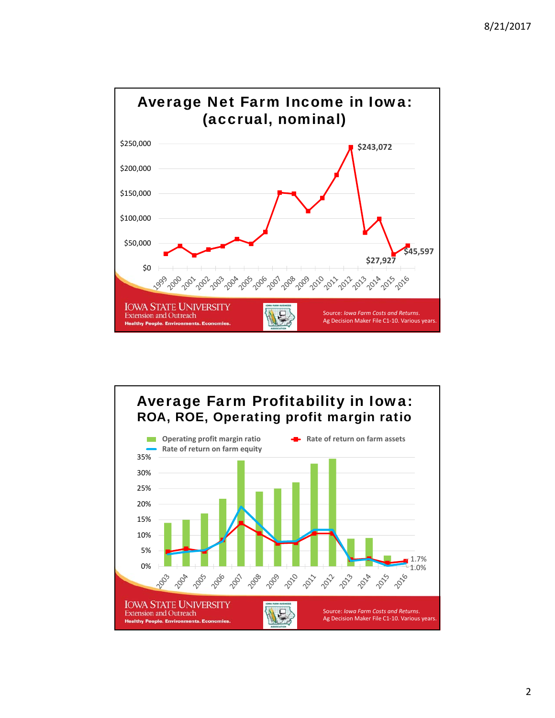



2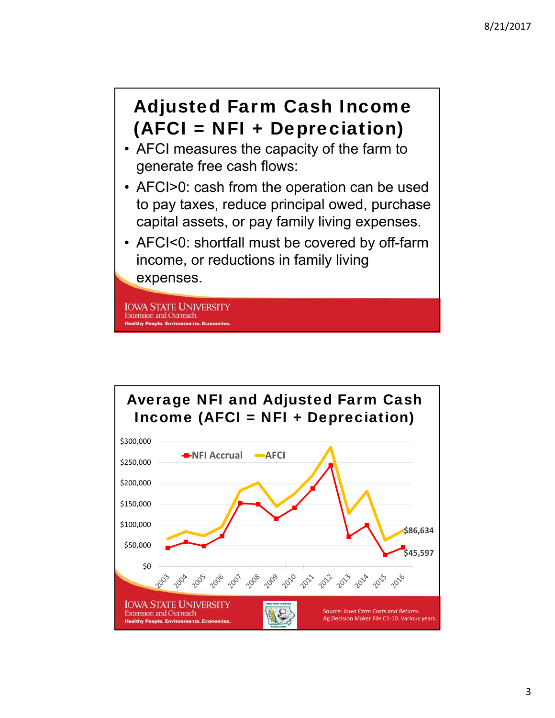## Adjusted Farm Cash Income (AFCI = NFI + Depreciation)

- AFCI measures the capacity of the farm to generate free cash flows:
- AFCI>0: cash from the operation can be used to pay taxes, reduce principal owed, purchase capital assets, or pay family living expenses.
- AFCI<0: shortfall must be covered by off-farm income, or reductions in family living expenses.

**IOWA STATE UNIVERSITY Extension and Outreach Healthy People. Environments** 

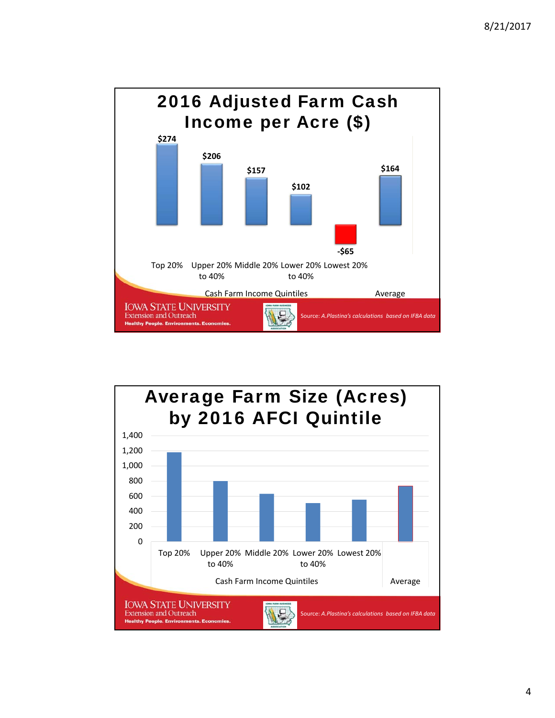

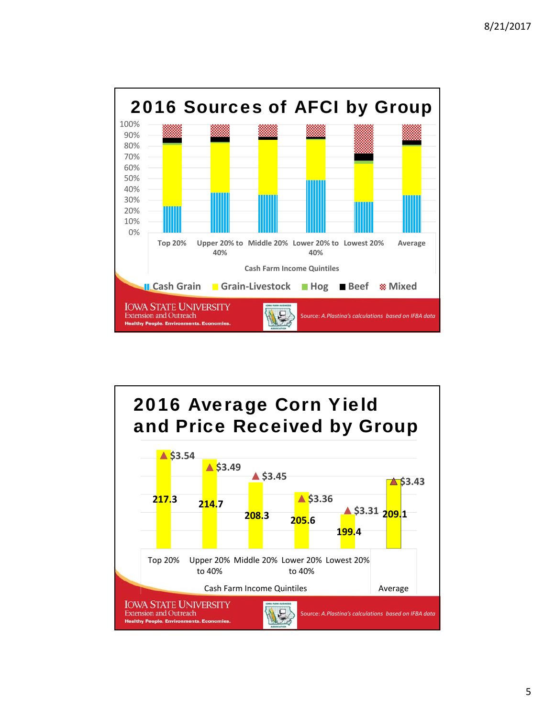

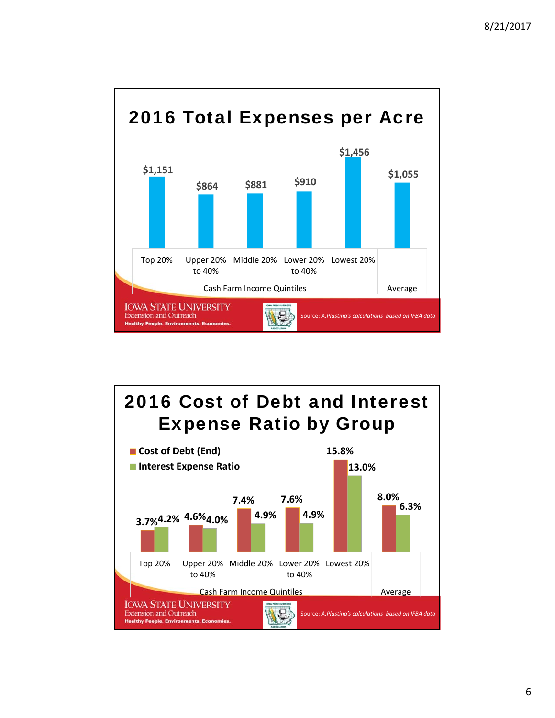

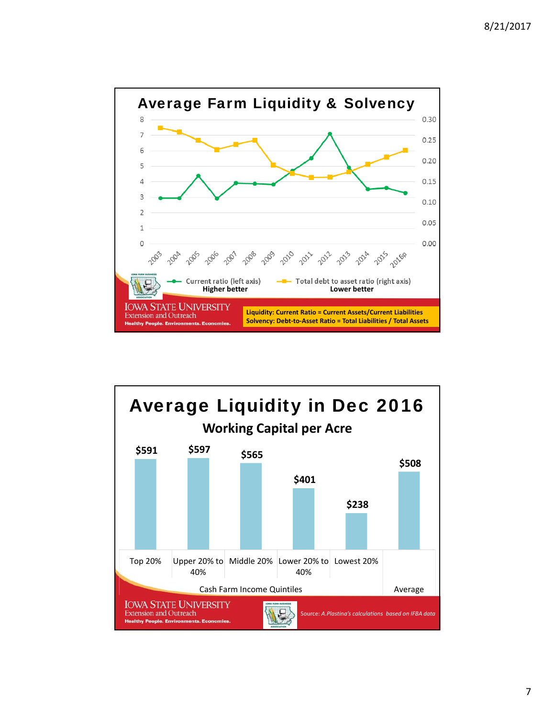

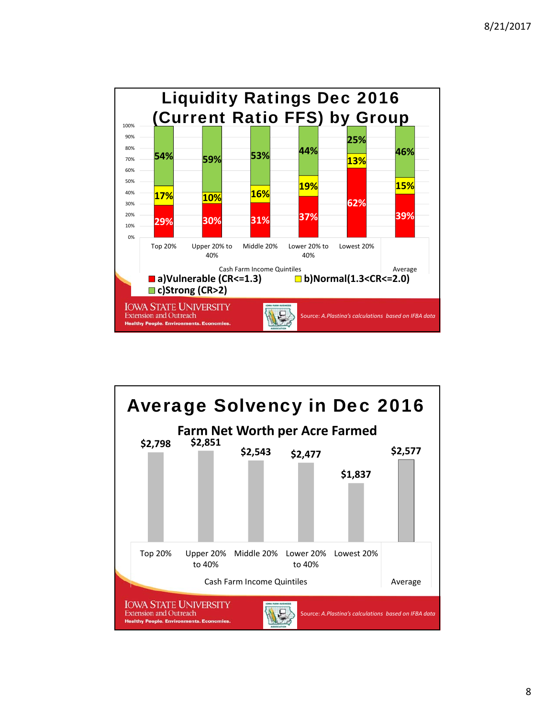

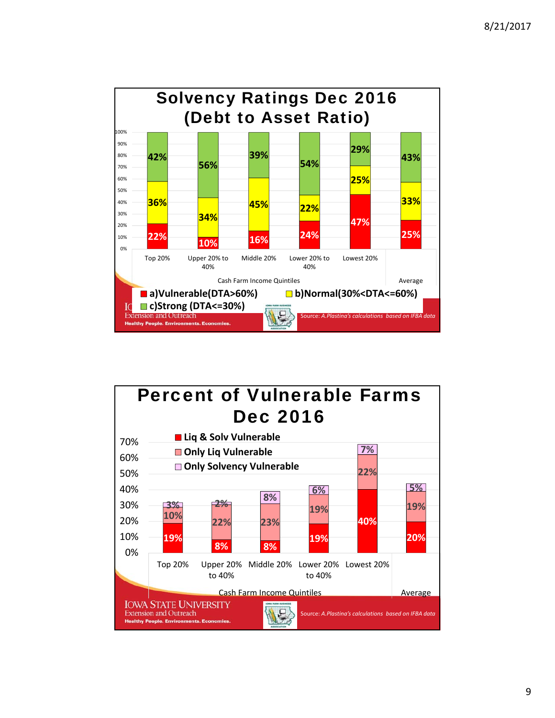